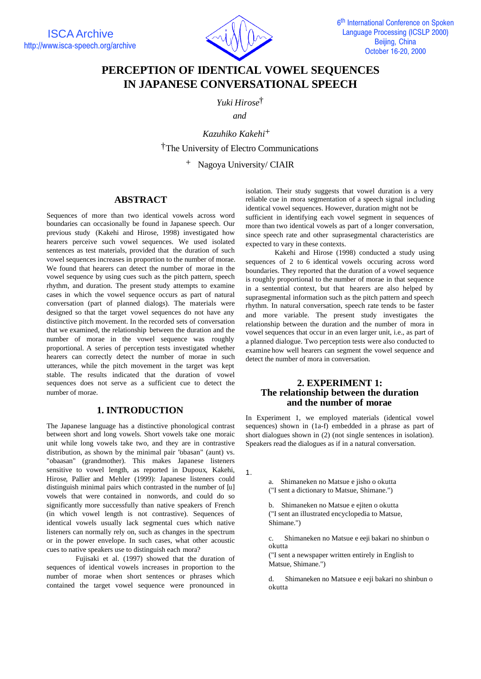

# **PERCEPTION OF IDENTICAL VOWEL SEQUENCES IN JAPANESE CONVERSATIONAL SPEECH**

*Yuki Hirose*†

*and*

*Kazuhiko Kakehi+* †The University of Electro Communications

<sup>+</sup> Nagoya University/ CIAIR

## **ABSTRACT**

Sequences of more than two identical vowels across word boundaries can occasionally be found in Japanese speech. Our previous study (Kakehi and Hirose, 1998) investigated how hearers perceive such vowel sequences. We used isolated sentences as test materials, provided that the duration of such vowel sequences increases in proportion to the number of morae. We found that hearers can detect the number of morae in the vowel sequence by using cues such as the pitch pattern, speech rhythm, and duration. The present study attempts to examine cases in which the vowel sequence occurs as part of natural conversation (part of planned dialogs). The materials were designed so that the target vowel sequences do not have any distinctive pitch movement. In the recorded sets of conversation that we examined, the relationship between the duration and the number of morae in the vowel sequence was roughly proportional. A series of perception tests investigated whether hearers can correctly detect the number of morae in such utterances, while the pitch movement in the target was kept stable. The results indicated that the duration of vowel sequences does not serve as a sufficient cue to detect the number of morae.

# **1. INTRODUCTION**

The Japanese language has a distinctive phonological contrast between short and long vowels. Short vowels take one moraic unit while long vowels take two, and they are in contrastive distribution, as shown by the minimal pair "obasan" (aunt) vs. "obaasan" (grandmother). This makes Japanese listeners sensitive to vowel length, as reported in Dupoux, Kakehi, Hirose, Pallier and Mehler (1999): Japanese listeners could distinguish minimal pairs which contrasted in the number of [u] vowels that were contained in nonwords, and could do so significantly more successfully than native speakers of French (in which vowel length is not contrastive). Sequences of identical vowels usually lack segmental cues which native listeners can normally rely on, such as changes in the spectrum or in the power envelope. In such cases, what other acoustic cues to native speakers use to distinguish each mora?

Fujisaki et al. (1997) showed that the duration of sequences of identical vowels increases in proportion to the number of morae when short sentences or phrases which contained the target vowel sequence were pronounced in

isolation. Their study suggests that vowel duration is a very reliable cue in mora segmentation of a speech signal including identical vowel sequences. However, duration might not be

sufficient in identifying each vowel segment in sequences of more than two identical vowels as part of a longer conversation, since speech rate and other suprasegmental characteristics are expected to vary in these contexts.

Kakehi and Hirose (1998) conducted a study using sequences of 2 to 6 identical vowels occuring across word boundaries. They reported that the duration of a vowel sequence is roughly proportional to the number of morae in that sequence in a sentential context, but that hearers are also helped by suprasegmental information such as the pitch pattern and speech rhythm. In natural conversation, speech rate tends to be faster and more variable. The present study investigates the relationship between the duration and the number of mora in vowel sequences that occur in an even larger unit, i.e., as part of a planned dialogue. Two perception tests were also conducted to examine how well hearers can segment the vowel sequence and detect the number of mora in conversation.

## **2. EXPERIMENT 1: The relationship between the duration and the number of morae**

In Experiment 1, we employed materials (identical vowel sequences) shown in (1a-f) embedded in a phrase as part of short dialogues shown in (2) (not single sentences in isolation). Speakers read the dialogues as if in a natural conversation.

1.

a. Shimaneken no Matsue e jisho o okutta ("I sent a dictionary to Matsue, Shimane.")

b. Shimaneken no Matsue e ejiten o okutta ("I sent an illustrated encyclopedia to Matsue, Shimane.")

c. Shimaneken no Matsue e eeji bakari no shinbun o okutta

("I sent a newspaper written entirely in English to Matsue, Shimane.")

d. Shimaneken no Matsuee e eeji bakari no shinbun o okutta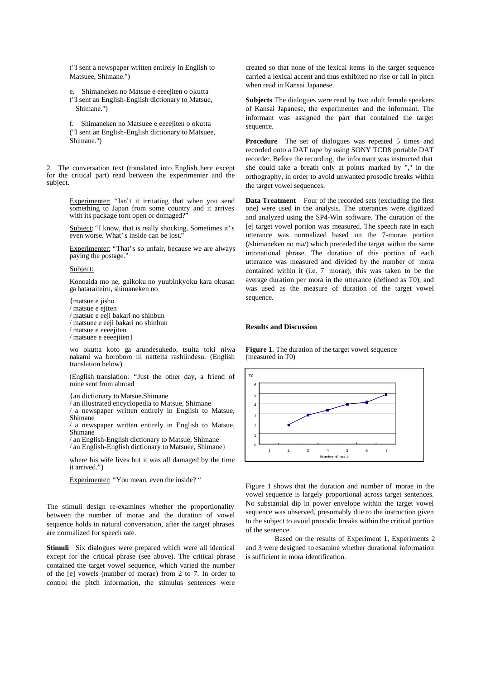("I sent a newspaper written entirely in English to Matsuee, Shimane.")

e. Shimaneken no Matsue e eeeejiten o okutta ("I sent an English-English dictionary to Matsue, Shimane.")

f. Shimaneken no Matsuee e eeeejiten o okutta ("I sent an English-English dictionary to Matsuee, Shimane.")

2. The conversation text (translated into English here except for the critical part) read between the experimenter and the subject.

> Experimenter: "Isn't it irritating that when you send something to Japan from some country and it arrives with its package torn open or domaged?"

> Subject: "I know, that is really shocking. Sometimes it's even worse. What's inside can be lost.'

> Experimenter: "That's so unfair, because we are always paying the postage."

#### Subject:

Konoaida mo ne, gaikoku no yuubinkyoku kara okusan ga hataraiteiru, shimaneken no

{matsue e jisho  $\sum$  matsue e ejiten / matsue e eeji bakari no shinbun / matsuee e eeji bakari no shinbun / matsue e eeeejiten / matsuee e eeeejiten}

wo okutta koto ga arundesukedo, tsuita toki niwa nakami wa boroboro ni natteita rashiindesu. (English translation below)

(English translation: "Just the other day, a friend of mine sent from abroad

{an dictionary to Matsue.Shimane

/ an illustrated encyclopedia to Matsue, Shimane

/ a newspaper written entirely in English to Matsue, Shimane

/ a newspaper written entirely in English to Matsue, Shimane

/ an English-English dictionary to Matsue, Shimane / an English-English dictionary to Matsuee, Shimane}

where his wife lives but it was all damaged by the time it arrived.")

Experimenter: "You mean, even the inside? "

The stimuli design re-examines whether the proportionality between the number of morae and the duration of vowel sequence holds in natural conversation, after the target phrases are normalized for speech rate.

**Stimuli** Six dialogues were prepared which were all identical except for the critical phrase (see above). The critical phrase contained the target vowel sequence, which varied the number of the [e] vowels (number of morae) from 2 to 7. In order to control the pitch information, the stimulus sentences were

created so that none of the lexical items in the target sequence carried a lexical accent and thus exhibited no rise or fall in pitch when read in Kansai Japanese.

**Subjects** The dialogues were read by two adult female speakers of Kansai Japanese, the experimenter and the informant. The informant was assigned the part that contained the target sequence.

Procedure The set of dialogues was repeated 5 times and recorded onto a DAT tape by using SONY TCD8 portable DAT recorder. Before the recording, the informant was instructed that she could take a breath only at points marked by "," in the orthography, in order to avoid unwanted prosodic breaks within the target vowel sequences.

**Data Treatment** Four of the recorded sets (excluding the first one) were used in the analysis. The utterances were digitized and analyzed using the SP4-Win software. The duration of the [e] target vowel portion was measured. The speech rate in each utterance was normalized based on the 7-morae portion (/shimaneken no ma/) which preceded the target within the same intonational phrase. The duration of this portion of each utterance was measured and divided by the number of mora contained within it (i.e. 7 morae); this was taken to be the average duration per mora in the utterance (defined as T0), and was used as the measure of duration of the target vowel sequence.

#### **Results and Discussion**

**Figure 1.** The duration of the target vowel sequence (measured in T0)



Figure 1 shows that the duration and number of morae in the vowel sequence is largely proportional across target sentences. No substantial dip in power envelope within the target vowel sequence was observed, presumably due to the instruction given to the subject to avoid prosodic breaks within the critical portion of the sentence.

Based on the results of Experiment 1, Experiments 2 and 3 were designed to examine whether durational information is sufficient in mora identification.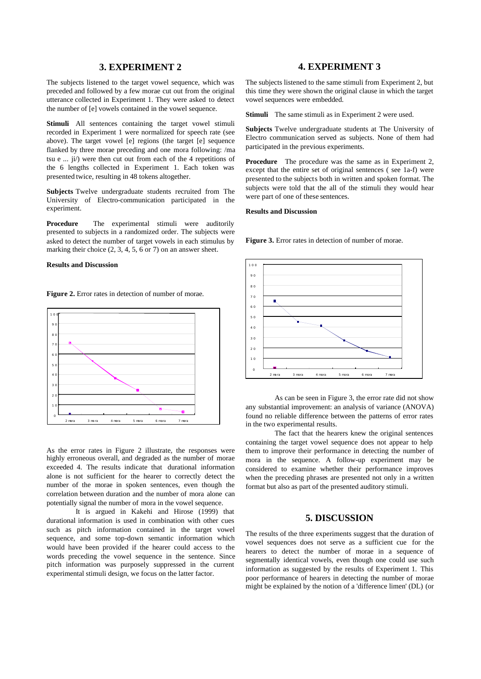### **3. EXPERIMENT 2**

The subjects listened to the target vowel sequence, which was preceded and followed by a few morae cut out from the original utterance collected in Experiment 1. They were asked to detect the number of [e] vowels contained in the vowel sequence.

**Stimuli** All sentences containing the target vowel stimuli recorded in Experiment 1 were normalized for speech rate (see above). The target vowel [e] regions (the target [e] sequence flanked by three morae preceding and one mora following: /ma tsu e  $\ldots$  ji/) were then cut out from each of the 4 repetitions of the 6 lengths collected in Experiment 1. Each token was presented twice, resulting in 48 tokens altogether.

**Subjects** Twelve undergraduate students recruited from The University of Electro-communication participated in the experiment.

**Procedure** The experimental stimuli were auditorily presented to subjects in a randomized order. The subjects were asked to detect the number of target vowels in each stimulus by marking their choice  $(2, 3, 4, 5, 6 \text{ or } 7)$  on an answer sheet.

#### **Results and Discussion**

**Figure 2.** Error rates in detection of number of morae.



As the error rates in Figure 2 illustrate, the responses were highly erroneous overall, and degraded as the number of morae exceeded 4. The results indicate that durational information alone is not sufficient for the hearer to correctly detect the number of the morae in spoken sentences, even though the correlation between duration and the number of mora alone can potentially signal the number of mora in the vowel sequence.

It is argued in Kakehi and Hirose (1999) that durational information is used in combination with other cues such as pitch information contained in the target vowel sequence, and some top-down semantic information which would have been provided if the hearer could access to the words preceding the vowel sequence in the sentence. Since pitch information was purposely suppressed in the current experimental stimuli design, we focus on the latter factor.

## **4. EXPERIMENT 3**

The subjects listened to the same stimuli from Experiment 2, but this time they were shown the original clause in which the target vowel sequences were embedded.

**Stimuli** The same stimuli as in Experiment 2 were used.

**Subjects** Twelve undergraduate students at The University of Electro communication served as subjects. None of them had participated in the previous experiments.

**Procedure** The procedure was the same as in Experiment 2, except that the entire set of original sentences ( see 1a-f) were presented to the subjects both in written and spoken format. The subjects were told that the all of the stimuli they would hear were part of one of these sentences.

#### **Results and Discussion**

**Figure 3.** Error rates in detection of number of morae.



As can be seen in Figure 3, the error rate did not show any substantial improvement: an analysis of variance (ANOVA) found no reliable difference between the patterns of error rates in the two experimental results.

The fact that the hearers knew the original sentences containing the target vowel sequence does not appear to help them to improve their performance in detecting the number of mora in the sequence. A follow-up experiment may be considered to examine whether their performance improves when the preceding phrases are presented not only in a written format but also as part of the presented auditory stimuli.

### **5. DISCUSSION**

The results of the three experiments suggest that the duration of vowel sequences does not serve as a sufficient cue for the hearers to detect the number of morae in a sequence of segmentally identical vowels, even though one could use such information as suggested by the results of Experiment 1. This poor performance of hearers in detecting the number of morae might be explained by the notion of a 'difference limen' (DL) (or